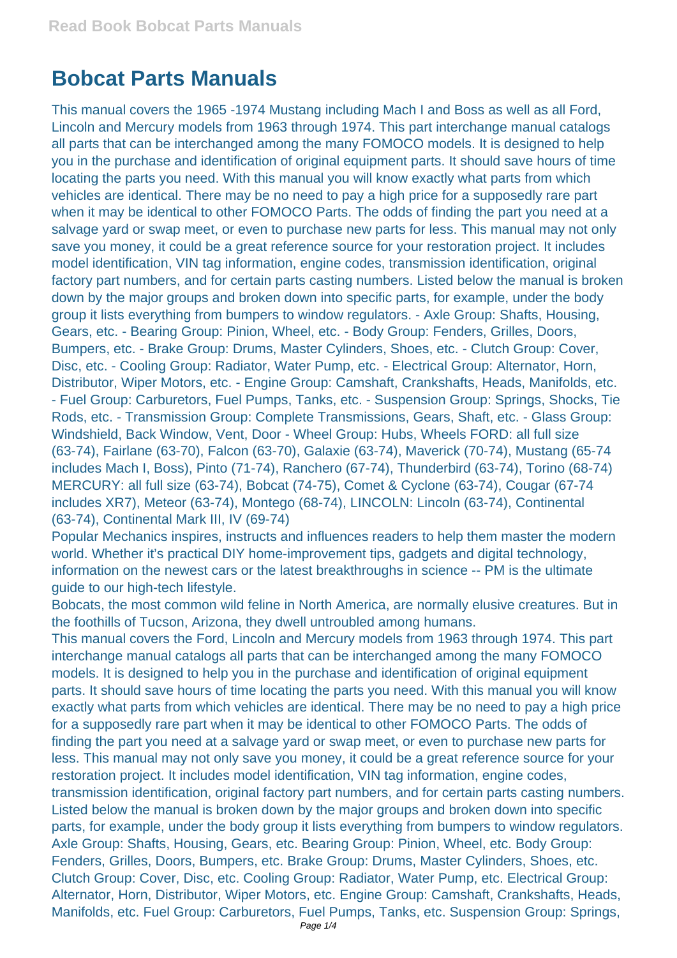## **Bobcat Parts Manuals**

This manual covers the 1965 -1974 Mustang including Mach I and Boss as well as all Ford, Lincoln and Mercury models from 1963 through 1974. This part interchange manual catalogs all parts that can be interchanged among the many FOMOCO models. It is designed to help you in the purchase and identification of original equipment parts. It should save hours of time locating the parts you need. With this manual you will know exactly what parts from which vehicles are identical. There may be no need to pay a high price for a supposedly rare part when it may be identical to other FOMOCO Parts. The odds of finding the part you need at a salvage yard or swap meet, or even to purchase new parts for less. This manual may not only save you money, it could be a great reference source for your restoration project. It includes model identification, VIN tag information, engine codes, transmission identification, original factory part numbers, and for certain parts casting numbers. Listed below the manual is broken down by the major groups and broken down into specific parts, for example, under the body group it lists everything from bumpers to window regulators. - Axle Group: Shafts, Housing, Gears, etc. - Bearing Group: Pinion, Wheel, etc. - Body Group: Fenders, Grilles, Doors, Bumpers, etc. - Brake Group: Drums, Master Cylinders, Shoes, etc. - Clutch Group: Cover, Disc, etc. - Cooling Group: Radiator, Water Pump, etc. - Electrical Group: Alternator, Horn, Distributor, Wiper Motors, etc. - Engine Group: Camshaft, Crankshafts, Heads, Manifolds, etc. - Fuel Group: Carburetors, Fuel Pumps, Tanks, etc. - Suspension Group: Springs, Shocks, Tie Rods, etc. - Transmission Group: Complete Transmissions, Gears, Shaft, etc. - Glass Group: Windshield, Back Window, Vent, Door - Wheel Group: Hubs, Wheels FORD: all full size (63-74), Fairlane (63-70), Falcon (63-70), Galaxie (63-74), Maverick (70-74), Mustang (65-74 includes Mach I, Boss), Pinto (71-74), Ranchero (67-74), Thunderbird (63-74), Torino (68-74) MERCURY: all full size (63-74), Bobcat (74-75), Comet & Cyclone (63-74), Cougar (67-74 includes XR7), Meteor (63-74), Montego (68-74), LINCOLN: Lincoln (63-74), Continental (63-74), Continental Mark III, IV (69-74)

Popular Mechanics inspires, instructs and influences readers to help them master the modern world. Whether it's practical DIY home-improvement tips, gadgets and digital technology, information on the newest cars or the latest breakthroughs in science -- PM is the ultimate guide to our high-tech lifestyle.

Bobcats, the most common wild feline in North America, are normally elusive creatures. But in the foothills of Tucson, Arizona, they dwell untroubled among humans.

This manual covers the Ford, Lincoln and Mercury models from 1963 through 1974. This part interchange manual catalogs all parts that can be interchanged among the many FOMOCO models. It is designed to help you in the purchase and identification of original equipment parts. It should save hours of time locating the parts you need. With this manual you will know exactly what parts from which vehicles are identical. There may be no need to pay a high price for a supposedly rare part when it may be identical to other FOMOCO Parts. The odds of finding the part you need at a salvage yard or swap meet, or even to purchase new parts for less. This manual may not only save you money, it could be a great reference source for your restoration project. It includes model identification, VIN tag information, engine codes, transmission identification, original factory part numbers, and for certain parts casting numbers. Listed below the manual is broken down by the major groups and broken down into specific parts, for example, under the body group it lists everything from bumpers to window regulators. Axle Group: Shafts, Housing, Gears, etc. Bearing Group: Pinion, Wheel, etc. Body Group: Fenders, Grilles, Doors, Bumpers, etc. Brake Group: Drums, Master Cylinders, Shoes, etc. Clutch Group: Cover, Disc, etc. Cooling Group: Radiator, Water Pump, etc. Electrical Group: Alternator, Horn, Distributor, Wiper Motors, etc. Engine Group: Camshaft, Crankshafts, Heads, Manifolds, etc. Fuel Group: Carburetors, Fuel Pumps, Tanks, etc. Suspension Group: Springs,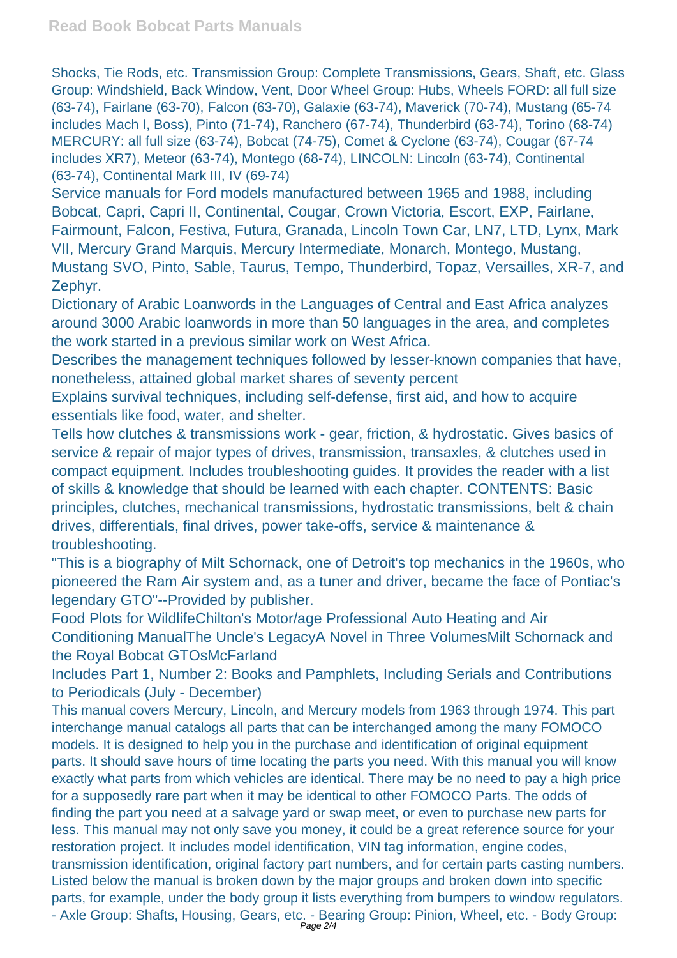Shocks, Tie Rods, etc. Transmission Group: Complete Transmissions, Gears, Shaft, etc. Glass Group: Windshield, Back Window, Vent, Door Wheel Group: Hubs, Wheels FORD: all full size (63-74), Fairlane (63-70), Falcon (63-70), Galaxie (63-74), Maverick (70-74), Mustang (65-74 includes Mach I, Boss), Pinto (71-74), Ranchero (67-74), Thunderbird (63-74), Torino (68-74) MERCURY: all full size (63-74), Bobcat (74-75), Comet & Cyclone (63-74), Cougar (67-74 includes XR7), Meteor (63-74), Montego (68-74), LINCOLN: Lincoln (63-74), Continental (63-74), Continental Mark III, IV (69-74)

Service manuals for Ford models manufactured between 1965 and 1988, including Bobcat, Capri, Capri II, Continental, Cougar, Crown Victoria, Escort, EXP, Fairlane, Fairmount, Falcon, Festiva, Futura, Granada, Lincoln Town Car, LN7, LTD, Lynx, Mark VII, Mercury Grand Marquis, Mercury Intermediate, Monarch, Montego, Mustang, Mustang SVO, Pinto, Sable, Taurus, Tempo, Thunderbird, Topaz, Versailles, XR-7, and Zephyr.

Dictionary of Arabic Loanwords in the Languages of Central and East Africa analyzes around 3000 Arabic loanwords in more than 50 languages in the area, and completes the work started in a previous similar work on West Africa.

Describes the management techniques followed by lesser-known companies that have, nonetheless, attained global market shares of seventy percent

Explains survival techniques, including self-defense, first aid, and how to acquire essentials like food, water, and shelter.

Tells how clutches & transmissions work - gear, friction, & hydrostatic. Gives basics of service & repair of major types of drives, transmission, transaxles, & clutches used in compact equipment. Includes troubleshooting guides. It provides the reader with a list of skills & knowledge that should be learned with each chapter. CONTENTS: Basic principles, clutches, mechanical transmissions, hydrostatic transmissions, belt & chain drives, differentials, final drives, power take-offs, service & maintenance & troubleshooting.

"This is a biography of Milt Schornack, one of Detroit's top mechanics in the 1960s, who pioneered the Ram Air system and, as a tuner and driver, became the face of Pontiac's legendary GTO"--Provided by publisher.

Food Plots for WildlifeChilton's Motor/age Professional Auto Heating and Air Conditioning ManualThe Uncle's LegacyA Novel in Three VolumesMilt Schornack and the Royal Bobcat GTOsMcFarland

Includes Part 1, Number 2: Books and Pamphlets, Including Serials and Contributions to Periodicals (July - December)

This manual covers Mercury, Lincoln, and Mercury models from 1963 through 1974. This part interchange manual catalogs all parts that can be interchanged among the many FOMOCO models. It is designed to help you in the purchase and identification of original equipment parts. It should save hours of time locating the parts you need. With this manual you will know exactly what parts from which vehicles are identical. There may be no need to pay a high price for a supposedly rare part when it may be identical to other FOMOCO Parts. The odds of finding the part you need at a salvage yard or swap meet, or even to purchase new parts for less. This manual may not only save you money, it could be a great reference source for your restoration project. It includes model identification, VIN tag information, engine codes, transmission identification, original factory part numbers, and for certain parts casting numbers. Listed below the manual is broken down by the major groups and broken down into specific parts, for example, under the body group it lists everything from bumpers to window regulators. - Axle Group: Shafts, Housing, Gears, etc. - Bearing Group: Pinion, Wheel, etc. - Body Group: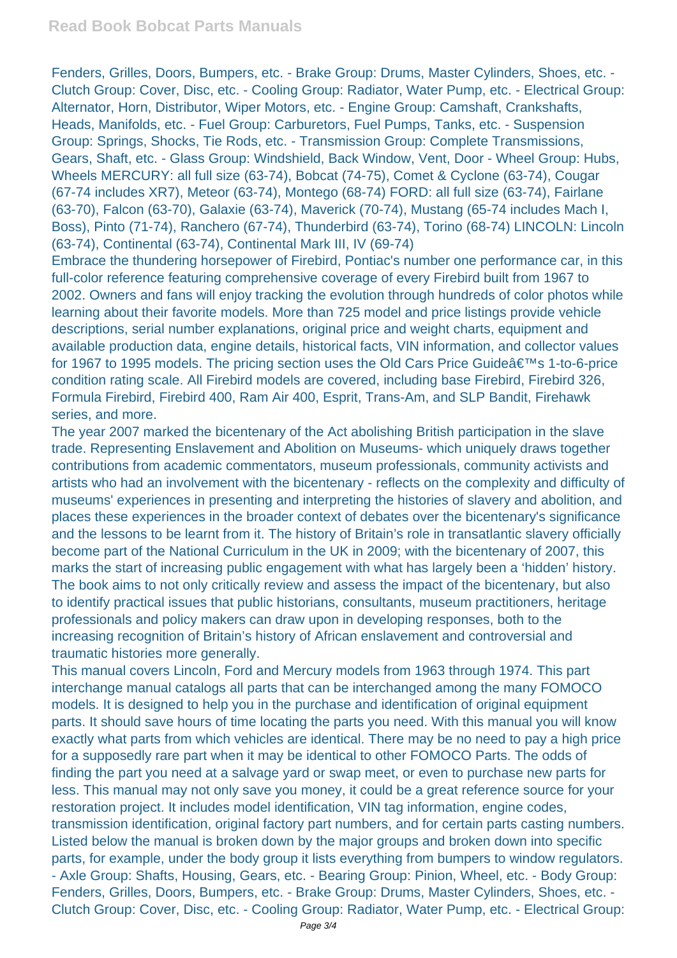Fenders, Grilles, Doors, Bumpers, etc. - Brake Group: Drums, Master Cylinders, Shoes, etc. - Clutch Group: Cover, Disc, etc. - Cooling Group: Radiator, Water Pump, etc. - Electrical Group: Alternator, Horn, Distributor, Wiper Motors, etc. - Engine Group: Camshaft, Crankshafts, Heads, Manifolds, etc. - Fuel Group: Carburetors, Fuel Pumps, Tanks, etc. - Suspension Group: Springs, Shocks, Tie Rods, etc. - Transmission Group: Complete Transmissions, Gears, Shaft, etc. - Glass Group: Windshield, Back Window, Vent, Door - Wheel Group: Hubs, Wheels MERCURY: all full size (63-74), Bobcat (74-75), Comet & Cyclone (63-74), Cougar (67-74 includes XR7), Meteor (63-74), Montego (68-74) FORD: all full size (63-74), Fairlane (63-70), Falcon (63-70), Galaxie (63-74), Maverick (70-74), Mustang (65-74 includes Mach I, Boss), Pinto (71-74), Ranchero (67-74), Thunderbird (63-74), Torino (68-74) LINCOLN: Lincoln (63-74), Continental (63-74), Continental Mark III, IV (69-74)

Embrace the thundering horsepower of Firebird, Pontiac's number one performance car, in this full-color reference featuring comprehensive coverage of every Firebird built from 1967 to 2002. Owners and fans will enjoy tracking the evolution through hundreds of color photos while learning about their favorite models. More than 725 model and price listings provide vehicle descriptions, serial number explanations, original price and weight charts, equipment and available production data, engine details, historical facts, VIN information, and collector values for 1967 to 1995 models. The pricing section uses the Old Cars Price Guide's 1-to-6-price condition rating scale. All Firebird models are covered, including base Firebird, Firebird 326, Formula Firebird, Firebird 400, Ram Air 400, Esprit, Trans-Am, and SLP Bandit, Firehawk series, and more.

The year 2007 marked the bicentenary of the Act abolishing British participation in the slave trade. Representing Enslavement and Abolition on Museums- which uniquely draws together contributions from academic commentators, museum professionals, community activists and artists who had an involvement with the bicentenary - reflects on the complexity and difficulty of museums' experiences in presenting and interpreting the histories of slavery and abolition, and places these experiences in the broader context of debates over the bicentenary's significance and the lessons to be learnt from it. The history of Britain's role in transatlantic slavery officially become part of the National Curriculum in the UK in 2009; with the bicentenary of 2007, this marks the start of increasing public engagement with what has largely been a 'hidden' history. The book aims to not only critically review and assess the impact of the bicentenary, but also to identify practical issues that public historians, consultants, museum practitioners, heritage professionals and policy makers can draw upon in developing responses, both to the increasing recognition of Britain's history of African enslavement and controversial and traumatic histories more generally.

This manual covers Lincoln, Ford and Mercury models from 1963 through 1974. This part interchange manual catalogs all parts that can be interchanged among the many FOMOCO models. It is designed to help you in the purchase and identification of original equipment parts. It should save hours of time locating the parts you need. With this manual you will know exactly what parts from which vehicles are identical. There may be no need to pay a high price for a supposedly rare part when it may be identical to other FOMOCO Parts. The odds of finding the part you need at a salvage yard or swap meet, or even to purchase new parts for less. This manual may not only save you money, it could be a great reference source for your restoration project. It includes model identification, VIN tag information, engine codes, transmission identification, original factory part numbers, and for certain parts casting numbers. Listed below the manual is broken down by the major groups and broken down into specific parts, for example, under the body group it lists everything from bumpers to window regulators. - Axle Group: Shafts, Housing, Gears, etc. - Bearing Group: Pinion, Wheel, etc. - Body Group: Fenders, Grilles, Doors, Bumpers, etc. - Brake Group: Drums, Master Cylinders, Shoes, etc. - Clutch Group: Cover, Disc, etc. - Cooling Group: Radiator, Water Pump, etc. - Electrical Group: